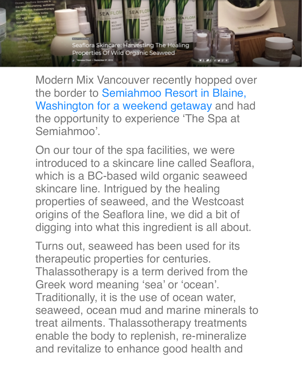

Modern Mix Vancouver recently hopped over the border to Semiahmoo Resort in Blaine, Washington for a weekend getaway and had the opportunity to experience 'The Spa at Semiahmoo'.

On our tour of the spa facilities, we were introduced to a skincare line called Seaflora, which is a BC-based wild organic seaweed skincare line. Intrigued by the healing properties of seaweed, and the Westcoast origins of the Seaflora line, we did a bit of digging into what this ingredient is all about.

Turns out, seaweed has been used for its therapeutic properties for centuries. Thalassotherapy is a term derived from the Greek word meaning 'sea' or 'ocean'. Traditionally, it is the use of ocean water, seaweed, ocean mud and marine minerals to treat ailments. Thalassotherapy treatments enable the body to replenish, re-mineralize and revitalize to enhance good health and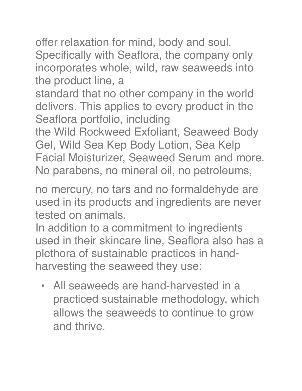offer relaxation for mind, body and soul. Specifically with Seaflora, the company only incorporates whole, wild, raw seaweeds into the product line, a

standard that no other company in the world delivers. This applies to every product in the Seaflora portfolio, including

the Wild Rockweed Exfoliant, Seaweed Body Gel, Wild Sea Kep Body Lotion, Sea Kelp Facial Moisturizer, Seaweed Serum and more. No parabens, no mineral oil, no petroleums,

no mercury, no tars and no formaldehyde are used in its products and ingredients are never tested on animals.

In addition to a commitment to ingredients used in their skincare line, Seaflora also has a plethora of sustainable practices in handharvesting the seaweed they use:

• All seaweeds are hand-harvested in a practiced sustainable methodology, which allows the seaweeds to continue to grow and thrive.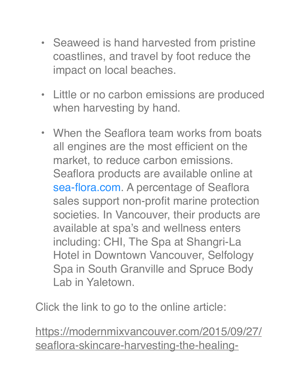- Seaweed is hand harvested from pristine coastlines, and travel by foot reduce the impact on local beaches.
- Little or no carbon emissions are produced when harvesting by hand.
- When the Seaflora team works from boats all engines are the most efficient on the market, to reduce carbon emissions. Seaflora products are available online at sea-flora.com. A percentage of Seaflora sales support non-profit marine protection societies. In Vancouver, their products are available at spa's and wellness enters including: CHI, The Spa at Shangri-La Hotel in Downtown Vancouver, Selfology Spa in South Granville and Spruce Body Lab in Yaletown.

Click the link to go to the online article:

[https://modernmixvancouver.com/2015/09/27/](https://modernmixvancouver.com/2015/09/27/seaflora-skincare-harvesting-the-healing-properties-of-wild-organic-seaweed/) [seaflora-skincare-harvesting-the-healing-](https://modernmixvancouver.com/2015/09/27/seaflora-skincare-harvesting-the-healing-properties-of-wild-organic-seaweed/)